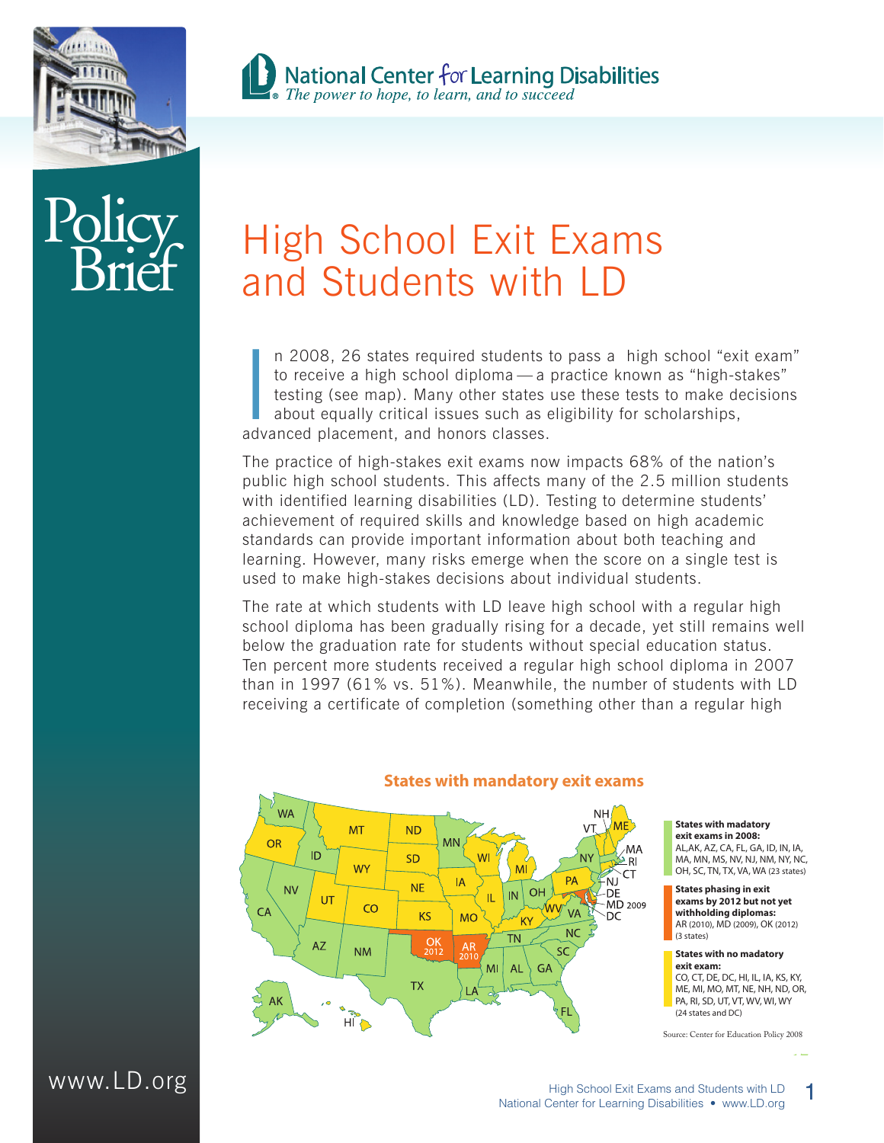

# $P_{\rm O}$ **Brief**

## **B** National Center for Learning Disabilities<br>The power to hope, to learn, and to succeed

### High School Exit Exams and Students with LD

n 2008, 26 states required students t<br>to receive a high school diploma — a p<br>testing (see map). Many other states u<br>about equally critical issues such as e<br>advanced placement, and honors classes. n 2008, 26 states required students to pass a high school "exit exam" to receive a high school diploma — a practice known as "high-stakes" testing (see map). Many other states use these tests to make decisions about equally critical issues such as eligibility for scholarships,

The practice of high-stakes exit exams now impacts 68% of the nation's public high school students. This affects many of the 2.5 million students with identified learning disabilities (LD). Testing to determine students' achievement of required skills and knowledge based on high academic standards can provide important information about both teaching and learning. However, many risks emerge when the score on a single test is used to make high-stakes decisions about individual students.

The rate at which students with LD leave high school with a regular high school diploma has been gradually rising for a decade, yet still remains well below the graduation rate for students without special education status. Ten percent more students received a regular high school diploma in 2007 than in 1997 (61% vs. 51%). Meanwhile, the number of students with LD receiving a certificate of completion (something other than a regular high



#### **States with mandatory exit exams**

**States with madatory exit exams in 2008:** AL,AK, AZ, CA, FL, GA, ID, IN, IA, MA, MN, MS, NV, NJ, NM, NY, NC, OH, SC, TN, TX, VA, WA (23 states)

**States phasing in exit exams by 2012 but not yet withholding diplomas:** AR (2010), MD (2009), OK (2012) (3 states)

**States with no madatory exit exam:** CO, CT, DE, DC, HI, IL, IA, KS, KY, ME, MI, MO, MT, NE, NH, ND, OR, PA, RI, SD, UT, VT, WV, WI, WY (24 states and DC)

Source: Center for Education Policy 2008

**17**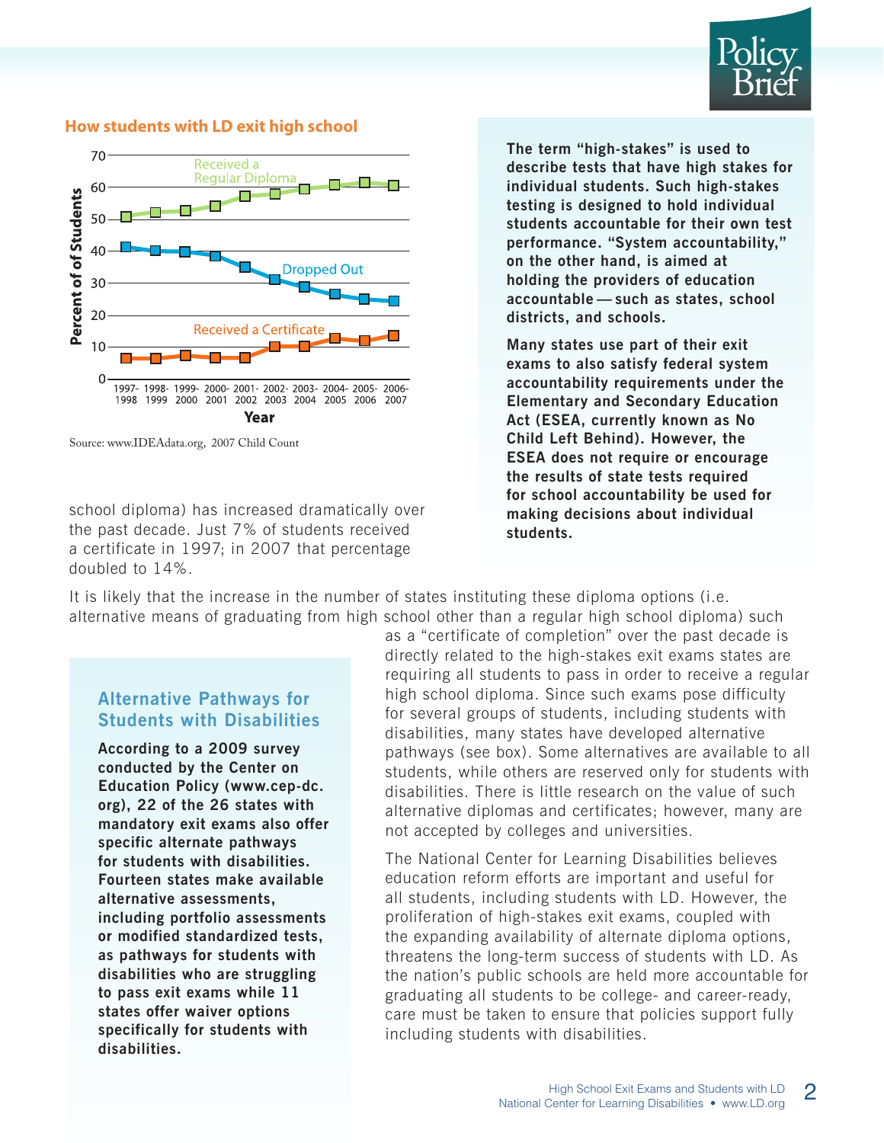



#### **How students with LD exit high school**

Source: www.IDEAdata.org, 2007 Child Count

school diploma) has increased dramatically over the past decade. Just 7% of students received a certificate in 1997; in 2007 that percentage doubled to 14%.

**The term "high-stakes" is used to describe tests that have high stakes for individual students. Such high-stakes testing is designed to hold individual students accountable for their own test performance. "System accountability," on the other hand, is aimed at holding the providers of education accountable — such as states, school districts, and schools.** 

**Many states use part of their exit exams to also satisfy federal system accountability requirements under the Elementary and Secondary Education Act (ESEA, currently known as No Child Left Behind). However, the ESEA does not require or encourage the results of state tests required for school accountability be used for making decisions about individual students.** 

It is likely that the increase in the number of states instituting these diploma options (i.e. alternative means of graduating from high school other than a regular high school diploma) such

#### **Alternative Pathways for Students with Disabilities**

**According to a 2009 survey conducted by the Center on Education Policy (www.cep-dc. org), 22 of the 26 states with mandatory exit exams also offer specific alternate pathways for students with disabilities. Fourteen states make available alternative assessments, including portfolio assessments or modified standardized tests, as pathways for students with disabilities who are struggling to pass exit exams while 11 states offer waiver options specifically for students with disabilities.** 

as a "certificate of completion" over the past decade is directly related to the high-stakes exit exams states are requiring all students to pass in order to receive a regular high school diploma. Since such exams pose difficulty for several groups of students, including students with disabilities, many states have developed alternative pathways (see box). Some alternatives are available to all students, while others are reserved only for students with disabilities. There is little research on the value of such alternative diplomas and certificates; however, many are not accepted by colleges and universities.

The National Center for Learning Disabilities believes education reform efforts are important and useful for all students, including students with LD. However, the proliferation of high-stakes exit exams, coupled with the expanding availability of alternate diploma options, threatens the long-term success of students with LD. As the nation's public schools are held more accountable for graduating all students to be college- and career-ready, care must be taken to ensure that policies support fully including students with disabilities.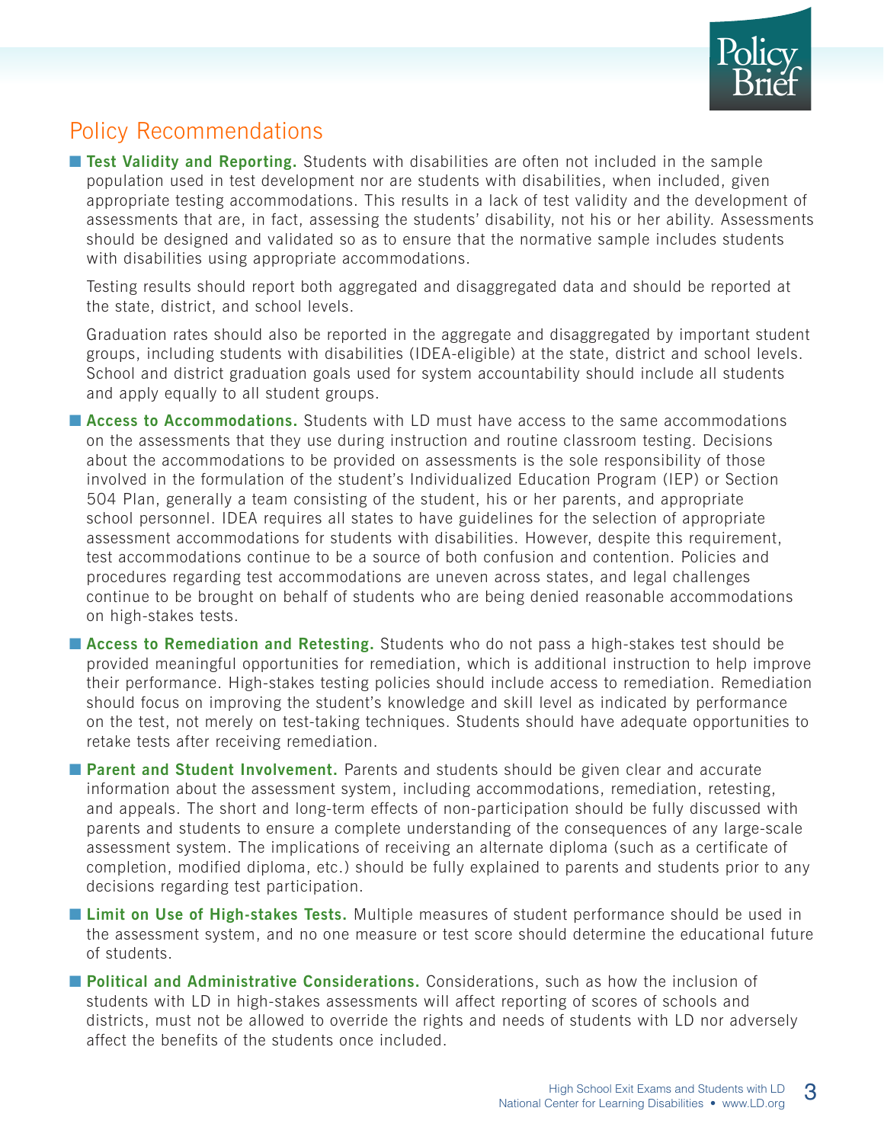

### Policy Recommendations

■ **Test Validity and Reporting.** Students with disabilities are often not included in the sample population used in test development nor are students with disabilities, when included, given appropriate testing accommodations. This results in a lack of test validity and the development of assessments that are, in fact, assessing the students' disability, not his or her ability. Assessments should be designed and validated so as to ensure that the normative sample includes students with disabilities using appropriate accommodations.

 Testing results should report both aggregated and disaggregated data and should be reported at the state, district, and school levels.

Graduation rates should also be reported in the aggregate and disaggregated by important student groups, including students with disabilities (IDEA-eligible) at the state, district and school levels. School and district graduation goals used for system accountability should include all students and apply equally to all student groups.

■ **Access to Accommodations.** Students with LD must have access to the same accommodations on the assessments that they use during instruction and routine classroom testing. Decisions about the accommodations to be provided on assessments is the sole responsibility of those involved in the formulation of the student's Individualized Education Program (IEP) or Section 504 Plan, generally a team consisting of the student, his or her parents, and appropriate school personnel. IDEA requires all states to have guidelines for the selection of appropriate assessment accommodations for students with disabilities. However, despite this requirement, test accommodations continue to be a source of both confusion and contention. Policies and procedures regarding test accommodations are uneven across states, and legal challenges continue to be brought on behalf of students who are being denied reasonable accommodations on high-stakes tests.

■ **Access to Remediation and Retesting.** Students who do not pass a high-stakes test should be provided meaningful opportunities for remediation, which is additional instruction to help improve their performance. High-stakes testing policies should include access to remediation. Remediation should focus on improving the student's knowledge and skill level as indicated by performance on the test, not merely on test-taking techniques. Students should have adequate opportunities to retake tests after receiving remediation.

■ **Parent and Student Involvement.** Parents and students should be given clear and accurate information about the assessment system, including accommodations, remediation, retesting, and appeals. The short and long-term effects of non-participation should be fully discussed with parents and students to ensure a complete understanding of the consequences of any large-scale assessment system. The implications of receiving an alternate diploma (such as a certificate of completion, modified diploma, etc.) should be fully explained to parents and students prior to any decisions regarding test participation.

■ **Limit on Use of High-stakes Tests.** Multiple measures of student performance should be used in the assessment system, and no one measure or test score should determine the educational future of students.

■ **Political and Administrative Considerations.** Considerations, such as how the inclusion of students with LD in high-stakes assessments will affect reporting of scores of schools and districts, must not be allowed to override the rights and needs of students with LD nor adversely affect the benefits of the students once included.